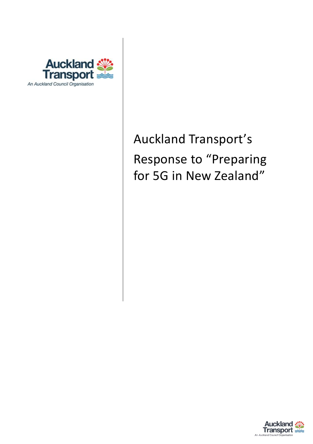

# Auckland Transport's Response to "Preparing for 5G in New Zealand"

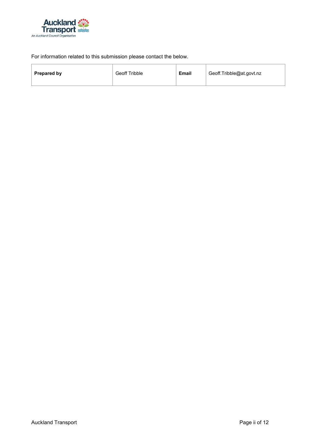

### For information related to this submission please contact the below.

| <b>Prepared by</b> | Geoff Tribble | <b>Email</b> | Geoff.Tribble@at.govt.nz |
|--------------------|---------------|--------------|--------------------------|
|--------------------|---------------|--------------|--------------------------|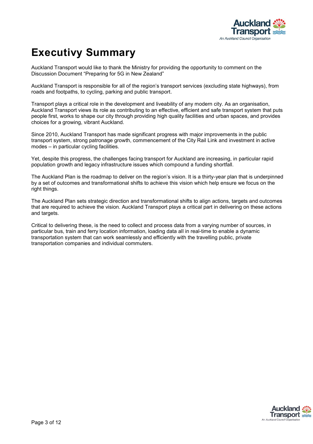

## **Executivy Summary**

Auckland Transport would like to thank the Ministry for providing the opportunity to comment on the Discussion Document "Preparing for 5G in New Zealand"

Auckland Transport is responsible for all of the region's transport services (excluding state highways), from roads and footpaths, to cycling, parking and public transport.

Transport plays a critical role in the development and liveability of any modern city. As an organisation, Auckland Transport views its role as contributing to an effective, efficient and safe transport system that puts people first, works to shape our city through providing high quality facilities and urban spaces, and provides choices for a growing, vibrant Auckland.

Since 2010, Auckland Transport has made significant progress with major improvements in the public transport system, strong patronage growth, commencement of the City Rail Link and investment in active modes – in particular cycling facilities.

Yet, despite this progress, the challenges facing transport for Auckland are increasing, in particular rapid population growth and legacy infrastructure issues which compound a funding shortfall.

The Auckland Plan is the roadmap to deliver on the region's vision. It is a thirty-year plan that is underpinned by a set of outcomes and transformational shifts to achieve this vision which help ensure we focus on the right things.

The Auckland Plan sets strategic direction and transformational shifts to align actions, targets and outcomes that are required to achieve the vision. Auckland Transport plays a critical part in delivering on these actions and targets.

Critical to delivering these, is the need to collect and process data from a varying number of sources, in particular bus, train and ferry location information, loading data all in real-time to enable a dynamic transportation system that can work seamlessly and efficiently with the travelling public, private transportation companies and individual commuters.

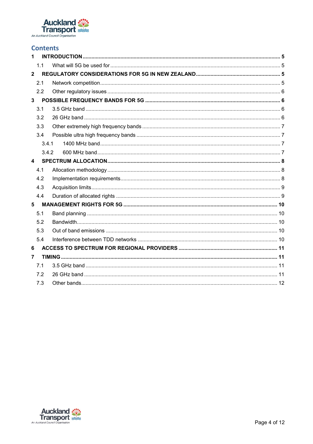

### **Contents**

| 1                |       |  |  |
|------------------|-------|--|--|
|                  | 1.1   |  |  |
| $\mathbf{2}$     |       |  |  |
|                  | 2.1   |  |  |
|                  | 2.2   |  |  |
| $\overline{3}$   |       |  |  |
|                  | 3.1   |  |  |
|                  | 3.2   |  |  |
|                  | 3.3   |  |  |
|                  | 3.4   |  |  |
|                  | 3.4.1 |  |  |
|                  | 3.4.2 |  |  |
| $\blacktriangle$ |       |  |  |
|                  | 4.1   |  |  |
|                  | 4.2   |  |  |
|                  | 4.3   |  |  |
|                  | 4.4   |  |  |
| 5                |       |  |  |
|                  | 5.1   |  |  |
|                  | 5.2   |  |  |
|                  | 5.3   |  |  |
|                  | 5.4   |  |  |
| 6                |       |  |  |
| $\overline{7}$   |       |  |  |
|                  | 7.1   |  |  |
|                  | 7.2   |  |  |
|                  | 7.3   |  |  |

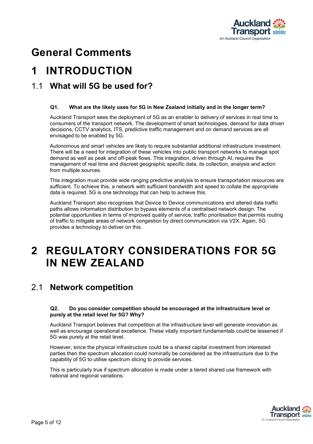

## **General Comments**

## <span id="page-4-0"></span>**1 INTRODUCTION**

### <span id="page-4-1"></span>1.1 **What will 5G be used for?**

### **Q1. What are the likely uses for 5G in New Zealand initially and in the longer term?**

Auckland Transport sees the deployment of 5G as an enabler to delivery of services in real time to consumers of the transport network. The development of smart technologies, demand for data driven decisions, CCTV analytics, ITS, predictive traffic management and on demand services are all envisaged to be enabled by 5G.

Autonomous and smart vehicles are likely to require substantial additional infrastructure investment. There will be a need for integration of these vehicles into public transport networks to manage spot demand as well as peak and off-peak flows. This integration, driven through AI, requires the management of real time and discreet geographic specific data, its collection, analysis and action from multiple sources.

This integration must provide wide ranging predictive analysis to ensure transportation resources are sufficient. To achieve this, a network with sufficient bandwidth and speed to collate the appropriate data is required. 5G is one technology that can help to achieve this.

Auckland Transport also recognises that Device to Device communications and altered data traffic paths allows information distribution to bypass elements of a centralised network design. The potential opportunities in terms of improved quality of service, traffic prioritisation that permits routing of traffic to mitigate areas of network congestion by direct communication via V2X. Again, 5G provides a technology to deliver on this.

## <span id="page-4-2"></span>**2 REGULATORY CONSIDERATIONS FOR 5G IN NEW ZEALAND**

### <span id="page-4-3"></span>2.1 **Network competition**

#### **Q2. Do you consider competition should be encouraged at the infrastructure level or purely at the retail level for 5G? Why?**

Auckland Transport believes that competition at the infrastructure level will generate innovation as well as encourage operational excellence. These vitally important fundamentals could be lessened if 5G was purely at the retail level.

However, since the physical infrastructure could be a shared capital investment from interested parties then the spectrum allocation could nominally be considered as the infrastructure due to the capability of 5G to utilise spectrum slicing to provide services.

This is particularly true if spectrum allocation is made under a tiered shared use framework with national and regional variations.

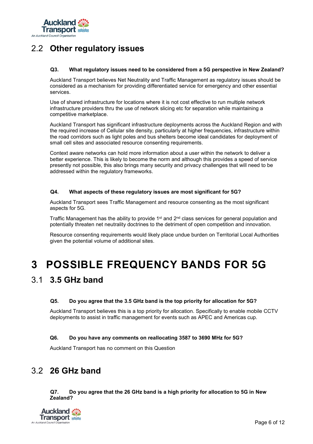

### <span id="page-5-0"></span>2.2 **Other regulatory issues**

#### **Q3. What regulatory issues need to be considered from a 5G perspective in New Zealand?**

Auckland Transport believes Net Neutrality and Traffic Management as regulatory issues should be considered as a mechanism for providing differentiated service for emergency and other essential services.

Use of shared infrastructure for locations where it is not cost effective to run multiple network infrastructure providers thru the use of network slicing etc for separation while maintaining a competitive marketplace.

Auckland Transport has significant infrastructure deployments across the Auckland Region and with the required increase of Cellular site density, particularly at higher frequencies, infrastructure within the road corridors such as light poles and bus shelters become ideal candidates for deployment of small cell sites and associated resource consenting requirements.

Context aware networks can hold more information about a user within the network to deliver a better experience. This is likely to become the norm and although this provides a speed of service presently not possible, this also brings many security and privacy challenges that will need to be addressed within the regulatory frameworks.

#### **Q4. What aspects of these regulatory issues are most significant for 5G?**

Auckland Transport sees Traffic Management and resource consenting as the most significant aspects for 5G.

Traffic Management has the ability to provide 1<sup>st</sup> and  $2<sup>nd</sup>$  class services for general population and potentially threaten net neutrality doctrines to the detriment of open competition and innovation.

Resource consenting requirements would likely place undue burden on Territorial Local Authorities given the potential volume of additional sites.

## <span id="page-5-1"></span>**3 POSSIBLE FREQUENCY BANDS FOR 5G**

### <span id="page-5-2"></span>3.1 **3.5 GHz band**

#### **Q5. Do you agree that the 3.5 GHz band is the top priority for allocation for 5G?**

Auckland Transport believes this is a top priority for allocation. Specifically to enable mobile CCTV deployments to assist in traffic management for events such as APEC and Americas cup.

#### **Q6. Do you have any comments on reallocating 3587 to 3690 MHz for 5G?**

Auckland Transport has no comment on this Question

### <span id="page-5-3"></span>3.2 **26 GHz band**

**Q7. Do you agree that the 26 GHz band is a high priority for allocation to 5G in New Zealand?**

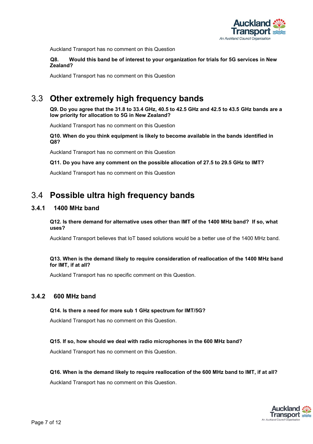

Auckland Transport has no comment on this Question

**Q8. Would this band be of interest to your organization for trials for 5G services in New Zealand?**

Auckland Transport has no comment on this Question

### <span id="page-6-0"></span>3.3 **Other extremely high frequency bands**

**Q9. Do you agree that the 31.8 to 33.4 GHz, 40.5 to 42.5 GHz and 42.5 to 43.5 GHz bands are a low priority for allocation to 5G in New Zealand?**

Auckland Transport has no comment on this Question

**Q10. When do you think equipment is likely to become available in the bands identified in Q8?**

Auckland Transport has no comment on this Question

**Q11. Do you have any comment on the possible allocation of 27.5 to 29.5 GHz to IMT?**

Auckland Transport has no comment on this Question

### <span id="page-6-1"></span>3.4 **Possible ultra high frequency bands**

### <span id="page-6-2"></span>**3.4.1 1400 MHz band**

**Q12. Is there demand for alternative uses other than IMT of the 1400 MHz band? If so, what uses?**

Auckland Transport believes that IoT based solutions would be a better use of the 1400 MHz band.

### **Q13. When is the demand likely to require consideration of reallocation of the 1400 MHz band for IMT, if at all?**

Auckland Transport has no specific comment on this Question.

### <span id="page-6-3"></span>**3.4.2 600 MHz band**

### **Q14. Is there a need for more sub 1 GHz spectrum for IMT/5G?**

Auckland Transport has no comment on this Question.

### **Q15. If so, how should we deal with radio microphones in the 600 MHz band?**

Auckland Transport has no comment on this Question.

### **Q16. When is the demand likely to require reallocation of the 600 MHz band to IMT, if at all?**

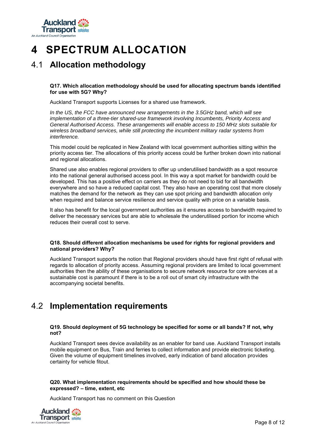

## <span id="page-7-0"></span>**4 SPECTRUM ALLOCATION**

### <span id="page-7-1"></span>4.1 **Allocation methodology**

#### **Q17. Which allocation methodology should be used for allocating spectrum bands identified for use with 5G? Why?**

Auckland Transport supports Licenses for a shared use framework.

*In the US, the FCC have announced new arrangements in the 3.5GHz band, which will see implementation of a three-tier shared-use framework involving Incumbents, Priority Access and General Authorised Access. These arrangements will enable access to 150 MHz slots suitable for wireless broadband services, while still protecting the incumbent military radar systems from interference.*

This model could be replicated in New Zealand with local government authorities sitting within the priority access tier. The allocations of this priority access could be further broken down into national and regional allocations.

Shared use also enables regional providers to offer up underutilised bandwidth as a spot resource into the national general authorised access pool. In this way a spot market for bandwidth could be developed. This has a positive effect on carriers as they do not need to bid for all bandwidth everywhere and so have a reduced capital cost. They also have an operating cost that more closely matches the demand for the network as they can use spot pricing and bandwidth allocation only when required and balance service resilience and service quality with price on a variable basis.

It also has benefit for the local government authorities as it ensures access to bandwidth required to deliver the necessary services but are able to wholesale the underutilised portion for income which reduces their overall cost to serve.

#### **Q18. Should different allocation mechanisms be used for rights for regional providers and national providers? Why?**

Auckland Transport supports the notion that Regional providers should have first right of refusal with regards to allocation of priority access. Assuming regional providers are limited to local government authorities then the ability of these organisations to secure network resource for core services at a sustainable cost is paramount if there is to be a roll out of smart city infrastructure with the accompanying societal benefits.

### <span id="page-7-2"></span>4.2 **Implementation requirements**

#### **Q19. Should deployment of 5G technology be specified for some or all bands? If not, why not?**

Auckland Transport sees device availability as an enabler for band use. Auckland Transport installs mobile equipment on Bus, Train and ferries to collect information and provide electronic ticketing. Given the volume of equipment timelines involved, early indication of band allocation provides certainty for vehicle fitout.

### **Q20. What implementation requirements should be specified and how should these be expressed? – time, extent, etc**

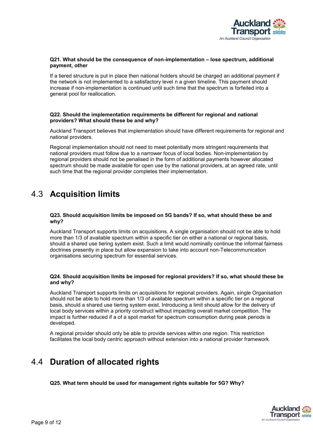

#### **Q21. What should be the consequence of non-implementation – lose spectrum, additional payment, other**

If a tiered structure is put in place then national holders should be charged an additional payment if the network is not implemented to a satisfactory level n a given timeline. This payment should increase if non-implementation is continued until such time that the spectrum is forfeited into a general pool for reallocation.

#### **Q22. Should the implementation requirements be different for regional and national providers? What should these be and why?**

Auckland Transport believes that implementation should have different requirements for regional and national providers.

Regional implementation should not need to meet potentially more stringent requirements that national providers must follow due to a narrower focus of local bodies. Non-implementation by regional providers should not be penalised in the form of additional payments however allocated spectrum should be made available for open use by the national providers, at an agreed rate, until such time that the regional provider completes their implementation.

### <span id="page-8-0"></span>4.3 **Acquisition limits**

#### **Q23. Should acquisition limits be imposed on 5G bands? If so, what should these be and why?**

Auckland Transport supports limits on acquisitions. A single organisation should not be able to hold more than 1/3 of available spectrum within a specific tier on either a national or regional basis, should a shared use tiering system exist. Such a limit would nominally continue the informal fairness doctrines presently in place but allow expansion to take into account non-Telecommunication organisations securing spectrum for essential services.

#### **Q24. Should acquisition limits be imposed for regional providers? If so, what should these be and why?**

Auckland Transport supports limits on acquisitions for regional providers. Again, single Organisation should not be able to hold more than 1/3 of available spectrum within a specific tier on a regional basis, should a shared use tiering system exist. Introducing a limit should allow for the delivery of local body services within a priority construct without impacting overall market competition. The impact is further reduced if a of a spot market for spectrum consumption during peak periods is developed.

A regional provider should only be able to provide services within one region. This restriction facilitates the local body centric approach without extension into a national provider framework.

### <span id="page-8-1"></span>4.4 **Duration of allocated rights**

**Q25. What term should be used for management rights suitable for 5G? Why?**

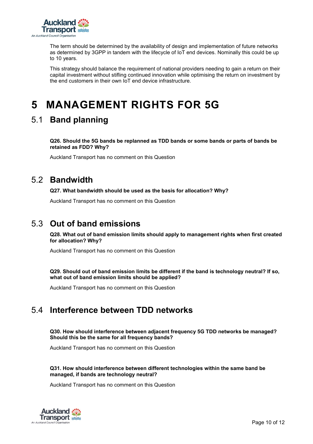

The term should be determined by the availability of design and implementation of future networks as determined by 3GPP in tandem with the lifecycle of IoT end devices. Nominally this could be up to 10 years.

This strategy should balance the requirement of national providers needing to gain a return on their capital investment without stifling continued innovation while optimising the return on investment by the end customers in their own IoT end device infrastructure.

## <span id="page-9-0"></span>**5 MANAGEMENT RIGHTS FOR 5G**

### <span id="page-9-1"></span>5.1 **Band planning**

**Q26. Should the 5G bands be replanned as TDD bands or some bands or parts of bands be retained as FDD? Why?**

Auckland Transport has no comment on this Question

### <span id="page-9-2"></span>5.2 **Bandwidth**

**Q27. What bandwidth should be used as the basis for allocation? Why?**

Auckland Transport has no comment on this Question

### <span id="page-9-3"></span>5.3 **Out of band emissions**

**Q28. What out of band emission limits should apply to management rights when first created for allocation? Why?**

Auckland Transport has no comment on this Question

### **Q29. Should out of band emission limits be different if the band is technology neutral? If so, what out of band emission limits should be applied?**

Auckland Transport has no comment on this Question

### <span id="page-9-4"></span>5.4 **Interference between TDD networks**

**Q30. How should interference between adjacent frequency 5G TDD networks be managed? Should this be the same for all frequency bands?**

Auckland Transport has no comment on this Question

**Q31. How should interference between different technologies within the same band be managed, if bands are technology neutral?**

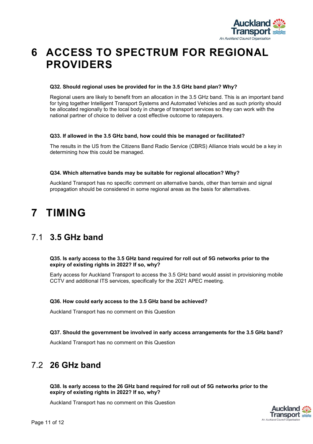

## <span id="page-10-0"></span>**6 ACCESS TO SPECTRUM FOR REGIONAL PROVIDERS**

#### **Q32. Should regional uses be provided for in the 3.5 GHz band plan? Why?**

Regional users are likely to benefit from an allocation in the 3.5 GHz band. This is an important band for tying together Intelligent Transport Systems and Automated Vehicles and as such priority should be allocated regionally to the local body in charge of transport services so they can work with the national partner of choice to deliver a cost effective outcome to ratepayers.

#### **Q33. If allowed in the 3.5 GHz band, how could this be managed or facilitated?**

The results in the US from the Citizens Band Radio Service (CBRS) Alliance trials would be a key in determining how this could be managed.

#### **Q34. Which alternative bands may be suitable for regional allocation? Why?**

Auckland Transport has no specific comment on alternative bands, other than terrain and signal propagation should be considered in some regional areas as the basis for alternatives.

## <span id="page-10-1"></span>**7 TIMING**

### <span id="page-10-2"></span>7.1 **3.5 GHz band**

**Q35. Is early access to the 3.5 GHz band required for roll out of 5G networks prior to the expiry of existing rights in 2022? If so, why?**

Early access for Auckland Transport to access the 3.5 GHz band would assist in provisioning mobile CCTV and additional ITS services, specifically for the 2021 APEC meeting.

#### **Q36. How could early access to the 3.5 GHz band be achieved?**

Auckland Transport has no comment on this Question

### **Q37. Should the government be involved in early access arrangements for the 3.5 GHz band?**

Auckland Transport has no comment on this Question

### <span id="page-10-3"></span>7.2 **26 GHz band**

**Q38. Is early access to the 26 GHz band required for roll out of 5G networks prior to the expiry of existing rights in 2022? If so, why?**